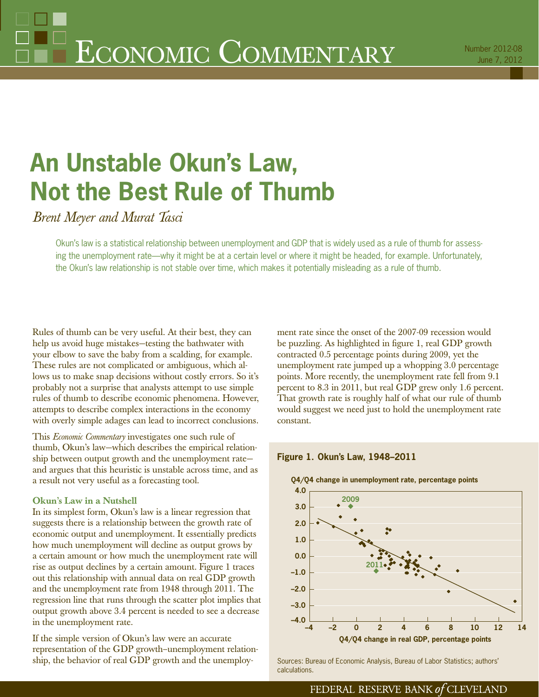# **An Unstable Okun's Law, Not the Best Rule of Thumb**

*Brent Meyer and Murat Tasci*

Okun's law is a statistical relationship between unemployment and GDP that is widely used as a rule of thumb for assessing the unemployment rate—why it might be at a certain level or where it might be headed, for example. Unfortunately, the Okun's law relationship is not stable over time, which makes it potentially misleading as a rule of thumb.

Rules of thumb can be very useful. At their best, they can help us avoid huge mistakes—testing the bathwater with your elbow to save the baby from a scalding, for example. These rules are not complicated or ambiguous, which allows us to make snap decisions without costly errors. So it's probably not a surprise that analysts attempt to use simple rules of thumb to describe economic phenomena. However, attempts to describe complex interactions in the economy with overly simple adages can lead to incorrect conclusions.

This *Economic Commentary* investigates one such rule of thumb, Okun's law—which describes the empirical relationship between output growth and the unemployment rate and argues that this heuristic is unstable across time, and as a result not very useful as a forecasting tool.

### **Okun's Law in a Nutshell**

In its simplest form, Okun's law is a linear regression that suggests there is a relationship between the growth rate of economic output and unemployment. It essentially predicts how much unemployment will decline as output grows by a certain amount or how much the unemployment rate will rise as output declines by a certain amount. Figure 1 traces out this relationship with annual data on real GDP growth and the unemployment rate from 1948 through 2011. The regression line that runs through the scatter plot implies that output growth above 3.4 percent is needed to see a decrease in the unemployment rate.

If the simple version of Okun's law were an accurate representation of the GDP growth–unemployment relationship, the behavior of real GDP growth and the unemployment rate since the onset of the 2007-09 recession would be puzzling. As highlighted in figure 1, real GDP growth contracted 0.5 percentage points during 2009, yet the unemployment rate jumped up a whopping 3.0 percentage points. More recently, the unemployment rate fell from 9.1 percent to 8.3 in 2011, but real GDP grew only 1.6 percent. That growth rate is roughly half of what our rule of thumb would suggest we need just to hold the unemployment rate constant.

## **Figure 1. Okun's Law, 1948–2011**



Sources: Bureau of Economic Analysis, Bureau of Labor Statistics; authors' calculations.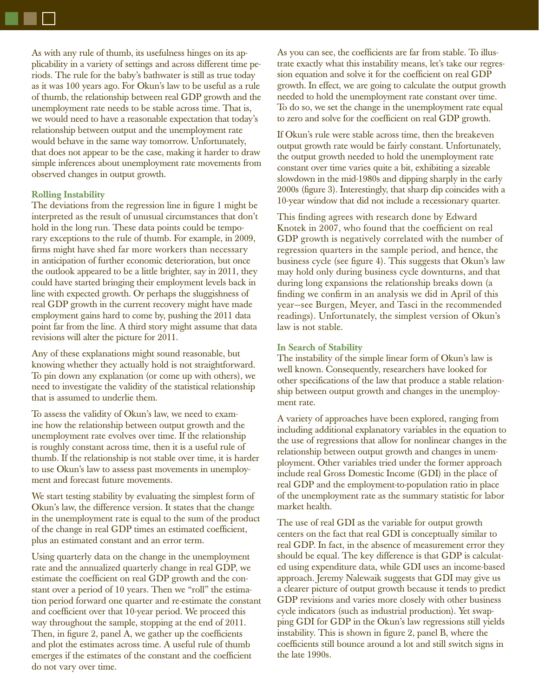As with any rule of thumb, its usefulness hinges on its applicability in a variety of settings and across different time periods. The rule for the baby's bathwater is still as true today as it was 100 years ago. For Okun's law to be useful as a rule of thumb, the relationship between real GDP growth and the unemployment rate needs to be stable across time. That is, we would need to have a reasonable expectation that today's relationship between output and the unemployment rate would behave in the same way tomorrow. Unfortunately, that does not appear to be the case, making it harder to draw simple inferences about unemployment rate movements from observed changes in output growth.

#### **Rolling Instability**

The deviations from the regression line in figure 1 might be interpreted as the result of unusual circumstances that don't hold in the long run. These data points could be temporary exceptions to the rule of thumb. For example, in 2009, firms might have shed far more workers than necessary in anticipation of further economic deterioration, but once the outlook appeared to be a little brighter, say in 2011, they could have started bringing their employment levels back in line with expected growth. Or perhaps the sluggishness of real GDP growth in the current recovery might have made employment gains hard to come by, pushing the 2011 data point far from the line. A third story might assume that data revisions will alter the picture for 2011.

Any of these explanations might sound reasonable, but knowing whether they actually hold is not straightforward. To pin down any explanation (or come up with others), we need to investigate the validity of the statistical relationship that is assumed to underlie them.

To assess the validity of Okun's law, we need to examine how the relationship between output growth and the unemployment rate evolves over time. If the relationship is roughly constant across time, then it is a useful rule of thumb. If the relationship is not stable over time, it is harder to use Okun's law to assess past movements in unemployment and forecast future movements.

We start testing stability by evaluating the simplest form of Okun's law, the difference version. It states that the change in the unemployment rate is equal to the sum of the product of the change in real GDP times an estimated coefficient, plus an estimated constant and an error term.

Using quarterly data on the change in the unemployment rate and the annualized quarterly change in real GDP, we estimate the coefficient on real GDP growth and the constant over a period of 10 years. Then we "roll" the estimation period forward one quarter and re-estimate the constant and coefficient over that 10-year period. We proceed this way throughout the sample, stopping at the end of 2011. Then, in figure 2, panel A, we gather up the coefficients and plot the estimates across time. A useful rule of thumb emerges if the estimates of the constant and the coefficient do not vary over time.

As you can see, the coefficients are far from stable. To illustrate exactly what this instability means, let's take our regression equation and solve it for the coefficient on real GDP growth. In effect, we are going to calculate the output growth needed to hold the unemployment rate constant over time. To do so, we set the change in the unemployment rate equal to zero and solve for the coefficient on real GDP growth.

If Okun's rule were stable across time, then the breakeven output growth rate would be fairly constant. Unfortunately, the output growth needed to hold the unemployment rate constant over time varies quite a bit, exhibiting a sizeable slowdown in the mid-1980s and dipping sharply in the early 2000s (figure 3). Interestingly, that sharp dip coincides with a 10-year window that did not include a recessionary quarter.

This finding agrees with research done by Edward Knotek in 2007, who found that the coefficient on real GDP growth is negatively correlated with the number of regression quarters in the sample period, and hence, the business cycle (see figure 4). This suggests that Okun's law may hold only during business cycle downturns, and that during long expansions the relationship breaks down (a finding we confirm in an analysis we did in April of this year—see Burgen, Meyer, and Tasci in the recommended readings). Unfortunately, the simplest version of Okun's law is not stable.

#### **In Search of Stability**

The instability of the simple linear form of Okun's law is well known. Consequently, researchers have looked for other specifications of the law that produce a stable relationship between output growth and changes in the unemployment rate.

A variety of approaches have been explored, ranging from including additional explanatory variables in the equation to the use of regressions that allow for nonlinear changes in the relationship between output growth and changes in unemployment. Other variables tried under the former approach include real Gross Domestic Income (GDI) in the place of real GDP and the employment-to-population ratio in place of the unemployment rate as the summary statistic for labor market health.

The use of real GDI as the variable for output growth centers on the fact that real GDI is conceptually similar to real GDP. In fact, in the absence of measurement error they should be equal. The key difference is that GDP is calculated using expenditure data, while GDI uses an income-based approach. Jeremy Nalewaik suggests that GDI may give us a clearer picture of output growth because it tends to predict GDP revisions and varies more closely with other business cycle indicators (such as industrial production). Yet swapping GDI for GDP in the Okun's law regressions still yields instability. This is shown in figure  $2$ , panel  $B$ , where the coefficients still bounce around a lot and still switch signs in the late 1990s.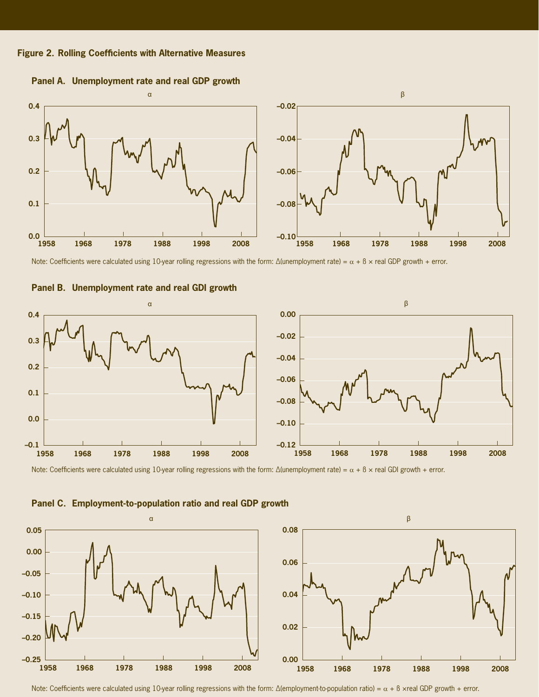



**Panel A. Unemployment rate and real GDP growth**

Note: Coefficients were calculated using 10-year rolling regressions with the form: Δ(unemployment rate) =  $\alpha$  + β × real GDP growth + error.





Note: Coefficients were calculated using 10-year rolling regressions with the form: Δ(unemployment rate) =  $\alpha + \beta \times$  real GDI growth + error.



**Panel C. Employment-to-population ratio and real GDP growth**

Note: Coefficients were calculated using 10-year rolling regressions with the form: Δ(employment-to-population ratio) =  $\alpha$  + β ×real GDP growth + error.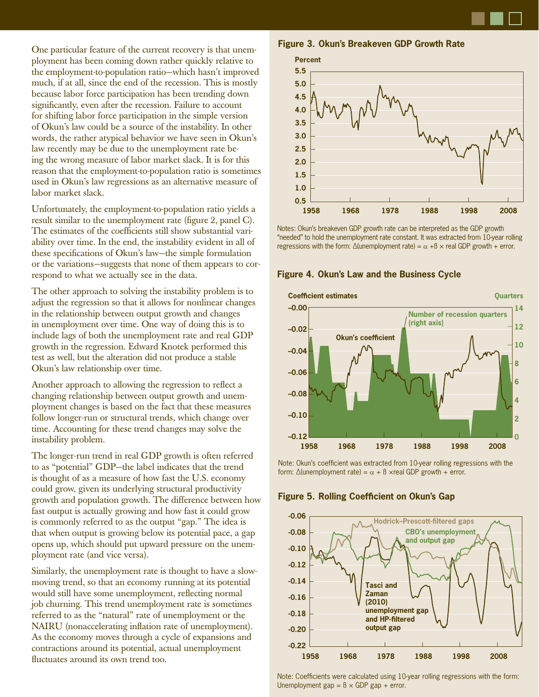One particular feature of the current recovery is that unemployment has been coming down rather quickly relative to the employment-to-population ratio—which hasn't improved much, if at all, since the end of the recession. This is mostly because labor force participation has been trending down significantly, even after the recession. Failure to account for shifting labor force participation in the simple version of Okun's law could be a source of the instability. In other words, the rather atypical behavior we have seen in Okun's law recently may be due to the unemployment rate being the wrong measure of labor market slack. It is for this reason that the employment-to-population ratio is sometimes used in Okun's law regressions as an alternative measure of labor market slack.

Unfortunately, the employment-to-population ratio yields a result similar to the unemployment rate (figure 2, panel C). The estimates of the coefficients still show substantial variability over time. In the end, the instability evident in all of these specifications of Okun's law—the simple formulation or the variations—suggests that none of them appears to correspond to what we actually see in the data.

The other approach to solving the instability problem is to adjust the regression so that it allows for nonlinear changes in the relationship between output growth and changes in unemployment over time. One way of doing this is to include lags of both the unemployment rate and real GDP growth in the regression. Edward Knotek performed this test as well, but the alteration did not produce a stable Okun's law relationship over time.

Another approach to allowing the regression to reflect a changing relationship between output growth and unemployment changes is based on the fact that these measures follow longer-run or structural trends, which change over time. Accounting for these trend changes may solve the instability problem.

The longer-run trend in real GDP growth is often referred to as "potential" GDP—the label indicates that the trend is thought of as a measure of how fast the U.S. economy could grow, given its underlying structural productivity growth and population growth. The difference between how fast output is actually growing and how fast it could grow is commonly referred to as the output "gap." The idea is that when output is growing below its potential pace, a gap opens up, which should put upward pressure on the unemployment rate (and vice versa).

Similarly, the unemployment rate is thought to have a slowmoving trend, so that an economy running at its potential would still have some unemployment, reflecting normal job churning. This trend unemployment rate is sometimes referred to as the "natural" rate of unemployment or the NAIRU (nonaccelerating inflation rate of unemployment). As the economy moves through a cycle of expansions and contractions around its potential, actual unemployment fluctuates around its own trend too.





Notes: Okun's breakeven GDP growth rate can be interpreted as the GDP growth "needed" to hold the unemployment rate constant. It was extracted from 10-year rolling regressions with the form: Δ(unemployment rate) =  $\alpha$  +β  $\times$  real GDP growth + error.



**Figure 4. Okun's Law and the Business Cycle**

Note: Okun's coefficient was extracted from 10-year rolling regressions with the form:  $\Delta$ (unemployment rate) =  $\alpha$  +  $\beta$  ×real GDP growth + error.



#### **Figure 5. Rolling Coefficient on Okun's Gap**

Note: Coefficients were calculated using 10-year rolling regressions with the form: Unemployment gap =  $\beta \times GDP$  gap + error.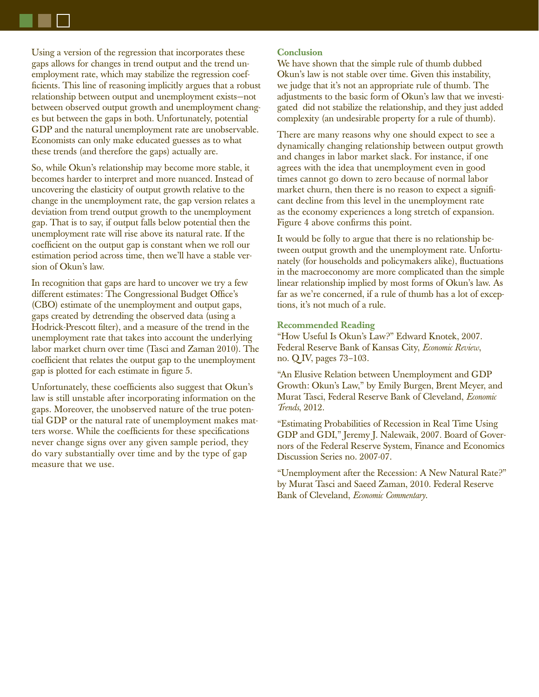Using a version of the regression that incorporates these gaps allows for changes in trend output and the trend unemployment rate, which may stabilize the regression coefficients. This line of reasoning implicitly argues that a robust relationship between output and unemployment exists—not between observed output growth and unemployment changes but between the gaps in both. Unfortunately, potential GDP and the natural unemployment rate are unobservable. Economists can only make educated guesses as to what these trends (and therefore the gaps) actually are.

So, while Okun's relationship may become more stable, it becomes harder to interpret and more nuanced. Instead of uncovering the elasticity of output growth relative to the change in the unemployment rate, the gap version relates a deviation from trend output growth to the unemployment gap. That is to say, if output falls below potential then the unemployment rate will rise above its natural rate. If the coefficient on the output gap is constant when we roll our estimation period across time, then we'll have a stable version of Okun's law.

In recognition that gaps are hard to uncover we try a few different estimates: The Congressional Budget Office's (CBO) estimate of the unemployment and output gaps, gaps created by detrending the observed data (using a Hodrick-Prescott filter), and a measure of the trend in the unemployment rate that takes into account the underlying labor market churn over time (Tasci and Zaman 2010). The coefficient that relates the output gap to the unemployment gap is plotted for each estimate in figure 5.

Unfortunately, these coefficients also suggest that Okun's law is still unstable after incorporating information on the gaps. Moreover, the unobserved nature of the true potential GDP or the natural rate of unemployment makes matters worse. While the coefficients for these specifications never change signs over any given sample period, they do vary substantially over time and by the type of gap measure that we use.

#### **Conclusion**

We have shown that the simple rule of thumb dubbed Okun's law is not stable over time. Given this instability, we judge that it's not an appropriate rule of thumb. The adjustments to the basic form of Okun's law that we investigated did not stabilize the relationship, and they just added complexity (an undesirable property for a rule of thumb).

There are many reasons why one should expect to see a dynamically changing relationship between output growth and changes in labor market slack. For instance, if one agrees with the idea that unemployment even in good times cannot go down to zero because of normal labor market churn, then there is no reason to expect a significant decline from this level in the unemployment rate as the economy experiences a long stretch of expansion. Figure 4 above confirms this point.

It would be folly to argue that there is no relationship between output growth and the unemployment rate. Unfortunately (for households and policymakers alike), fluctuations in the macroeconomy are more complicated than the simple linear relationship implied by most forms of Okun's law. As far as we're concerned, if a rule of thumb has a lot of exceptions, it's not much of a rule.

#### **Recommended Reading**

"How Useful Is Okun's Law?" Edward Knotek, 2007. Federal Reserve Bank of Kansas City, *Economic Review*, no. Q IV, pages 73–103.

"An Elusive Relation between Unemployment and GDP Growth: Okun's Law," by Emily Burgen, Brent Meyer, and Murat Tasci, Federal Reserve Bank of Cleveland, *Economic Trends*, 2012.

"Estimating Probabilities of Recession in Real Time Using GDP and GDI," Jeremy J. Nalewaik, 2007. Board of Governors of the Federal Reserve System, Finance and Economics Discussion Series no. 2007-07.

"Unemployment after the Recession: A New Natural Rate?" by Murat Tasci and Saeed Zaman, 2010. Federal Reserve Bank of Cleveland, *Economic Commentary*.